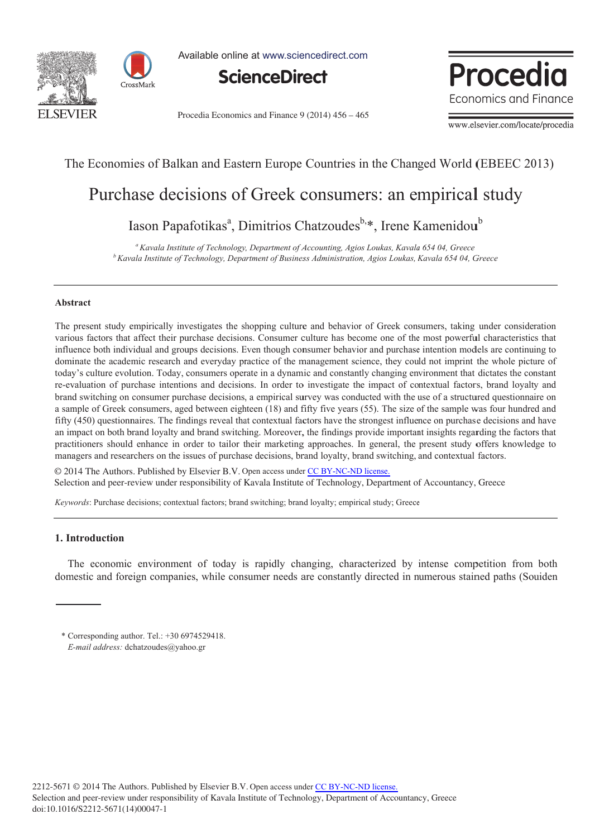



Available online at www.sciencedirect.com



Procedia Economics and Finance 9 (2014) 456 – 465



www.elsevier.com/locate/procedia

## The Economies of Balkan and Eastern Europe Countries in the Changed World (EBEEC 2013)

# Purchase decisions of Greek consumers: an empirical study

Iason Papafotikas<sup>a</sup>, Dimitrios Chatzoudes<sup>b,\*</sup>, Irene Kamenidou<sup>b</sup>

*b Kav vala Institute of T Technology, Depa rtment of Busines ss Administration n, Agios Loukas, K Kavala 654 04, G Greece*  <sup>a</sup> Kavala Institute of Technology, Department of Accounting, Agios Loukas, Kavala 654 04, Greece

#### Abstract

The present study empirically investigates the shopping culture and behavior of Greek consumers, taking under consideration various factors that affect their purchase decisions. Consumer culture has become one of the most powerful characteristics that influence both individual and groups decisions. Even though consumer behavior and purchase intention models are continuing to dominate the academic research and everyday practice of the management science, they could not imprint the whole picture of today's culture evolution. Today, consumers operate in a dynamic and constantly changing environment that dictates the constant re-evaluation of purchase intentions and decisions. In order to investigate the impact of contextual factors, brand loyalty and brand switching on consumer purchase decisions, a empirical survey was conducted with the use of a structured questionnaire on a sample of Greek consumers, aged between eighteen (18) and fifty five years (55). The size of the sample was four hundred and fifty (450) questionnaires. The findings reveal that contextual factors have the strongest influence on purchase decisions and have an impact on both brand loyalty and brand switching. Moreover, the findings provide important insights regarding the factors that practitioners should enhance in order to tailor their marketing approaches. In general, the present study offers knowledge to managers and researchers on the issues of purchase decisions, brand loyalty, brand switching, and contextual factors.

© 2014 The Authors. Published by Elsevier B.V. Open access under [CC BY-NC-ND license.](http://creativecommons.org/licenses/by-nc-nd/3.0/) Selection and peer-review under responsibility of Kavala Institute of Technology, Department of Accountancy, Greece

*Keywords*: Purchase decisions; contextual factors; brand switching; brand loyalty; empirical study; Greece

## **1. In ntroduction**

The economic environment of today is rapidly changing, characterized by intense competition from both domestic and foreign companies, while consumer needs are constantly directed in numerous stained paths (Souiden

\* C Corresponding aut thor. Tel.: +30 69 974529418. E-mail address: dchatzoudes@yahoo.gr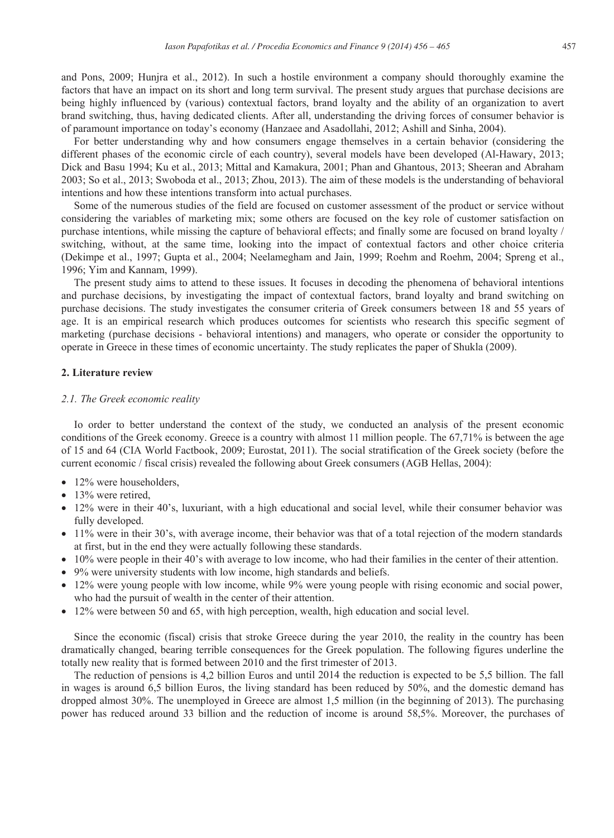and Pons, 2009; Hunjra et al., 2012). In such a hostile environment a company should thoroughly examine the factors that have an impact on its short and long term survival. The present study argues that purchase decisions are being highly influenced by (various) contextual factors, brand loyalty and the ability of an organization to avert brand switching, thus, having dedicated clients. After all, understanding the driving forces of consumer behavior is of paramount importance on today's economy (Hanzaee and Asadollahi, 2012; Ashill and Sinha, 2004).

For better understanding why and how consumers engage themselves in a certain behavior (considering the different phases of the economic circle of each country), several models have been developed (Al-Hawary, 2013; Dick and Basu 1994; Ku et al., 2013; Mittal and Kamakura, 2001; Phan and Ghantous, 2013; Sheeran and Abraham 2003; So et al., 2013; Swoboda et al., 2013; Zhou, 2013). The aim of these models is the understanding of behavioral intentions and how these intentions transform into actual purchases.

Some of the numerous studies of the field are focused on customer assessment of the product or service without considering the variables of marketing mix; some others are focused on the key role of customer satisfaction on purchase intentions, while missing the capture of behavioral effects; and finally some are focused on brand loyalty / switching, without, at the same time, looking into the impact of contextual factors and other choice criteria (Dekimpe et al., 1997; Gupta et al., 2004; Neelamegham and Jain, 1999; Roehm and Roehm, 2004; Spreng et al., 1996; Yim and Kannam, 1999).

The present study aims to attend to these issues. It focuses in decoding the phenomena of behavioral intentions and purchase decisions, by investigating the impact of contextual factors, brand loyalty and brand switching on purchase decisions. The study investigates the consumer criteria of Greek consumers between 18 and 55 years of age. It is an empirical research which produces outcomes for scientists who research this specific segment of marketing (purchase decisions - behavioral intentions) and managers, who operate or consider the opportunity to operate in Greece in these times of economic uncertainty. The study replicates the paper of Shukla (2009).

#### **2. Literature review**

#### *2.1. The Greek economic reality*

Io order to better understand the context of the study, we conducted an analysis of the present economic conditions of the Greek economy. Greece is a country with almost 11 million people. The 67,71% is between the age of 15 and 64 (CIA World Factbook, 2009; Eurostat, 2011). The social stratification of the Greek society (before the current economic / fiscal crisis) revealed the following about Greek consumers (AGB Hellas, 2004):

- $\bullet$  12% were householders,
- $\bullet$  13% were retired.
- 12% were in their 40's, luxuriant, with a high educational and social level, while their consumer behavior was fully developed.
- 11% were in their 30's, with average income, their behavior was that of a total rejection of the modern standards at first, but in the end they were actually following these standards.
- 10% were people in their 40's with average to low income, who had their families in the center of their attention.
- 9% were university students with low income, high standards and beliefs.
- $\bullet$  12% were young people with low income, while 9% were young people with rising economic and social power, who had the pursuit of wealth in the center of their attention.
- 12% were between 50 and 65, with high perception, wealth, high education and social level.

Since the economic (fiscal) crisis that stroke Greece during the year 2010, the reality in the country has been dramatically changed, bearing terrible consequences for the Greek population. The following figures underline the totally new reality that is formed between 2010 and the first trimester of 2013.

The reduction of pensions is 4,2 billion Euros and until 2014 the reduction is expected to be 5,5 billion. The fall in wages is around 6,5 billion Euros, the living standard has been reduced by 50%, and the domestic demand has dropped almost 30%. The unemployed in Greece are almost 1,5 million (in the beginning of 2013). The purchasing power has reduced around 33 billion and the reduction of income is around 58,5%. Moreover, the purchases of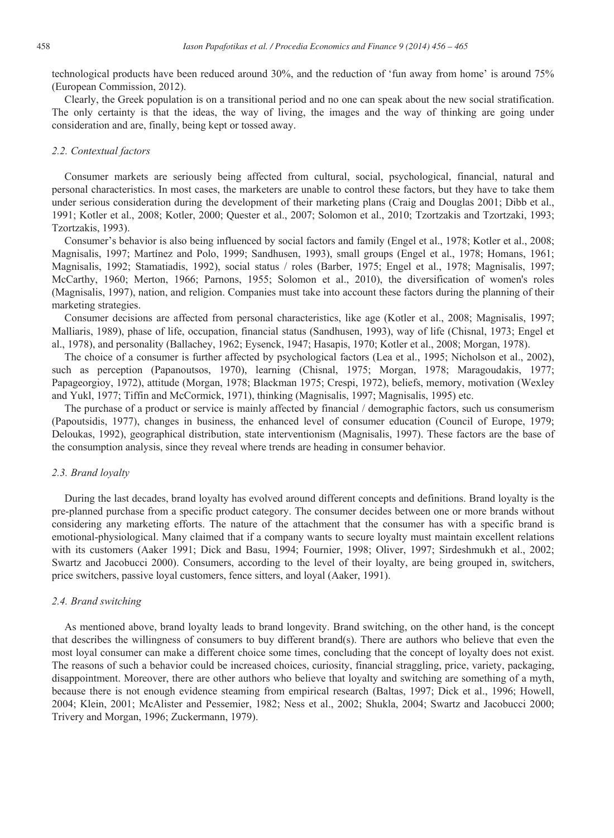technological products have been reduced around 30%, and the reduction of 'fun away from home' is around 75% (European Commission, 2012).

Clearly, the Greek population is on a transitional period and no one can speak about the new social stratification. The only certainty is that the ideas, the way of living, the images and the way of thinking are going under consideration and are, finally, being kept or tossed away.

## *2.2. Contextual factors*

Consumer markets are seriously being affected from cultural, social, psychological, financial, natural and personal characteristics. In most cases, the marketers are unable to control these factors, but they have to take them under serious consideration during the development of their marketing plans (Craig and Douglas 2001; Dibb et al., 1991; Kotler et al., 2008; Kotler, 2000; Quester et al., 2007; Solomon et al., 2010; Tzortzakis and Tzortzaki, 1993; Tzortzakis, 1993).

Consumer's behavior is also being influenced by social factors and family (Engel et al., 1978; Kotler et al., 2008; Magnisalis, 1997; Martínez and Polo, 1999; Sandhusen, 1993), small groups (Engel et al., 1978; Homans, 1961; Magnisalis, 1992; Stamatiadis, 1992), social status / roles (Barber, 1975; Engel et al., 1978; Magnisalis, 1997; McCarthy, 1960; Merton, 1966; Parnons, 1955; Solomon et al., 2010), the diversification of women's roles (Magnisalis, 1997), nation, and religion. Companies must take into account these factors during the planning of their marketing strategies.

Consumer decisions are affected from personal characteristics, like age (Kotler et al., 2008; Magnisalis, 1997; Malliaris, 1989), phase of life, occupation, financial status (Sandhusen, 1993), way of life (Chisnal, 1973; Engel et al., 1978), and personality (Ballachey, 1962; Eysenck, 1947; Hasapis, 1970; Kotler et al., 2008; Morgan, 1978).

The choice of a consumer is further affected by psychological factors (Lea et al., 1995; Nicholson et al., 2002), such as perception (Papanoutsos, 1970), learning (Chisnal, 1975; Morgan, 1978; Maragoudakis, 1977; Papageorgioy, 1972), attitude (Morgan, 1978; Blackman 1975; Crespi, 1972), beliefs, memory, motivation (Wexley and Yukl, 1977; Tiffin and McCormick, 1971), thinking (Magnisalis, 1997; Magnisalis, 1995) etc.

The purchase of a product or service is mainly affected by financial / demographic factors, such us consumerism (Papoutsidis, 1977), changes in business, the enhanced level of consumer education (Council of Europe, 1979; Deloukas, 1992), geographical distribution, state interventionism (Magnisalis, 1997). These factors are the base of the consumption analysis, since they reveal where trends are heading in consumer behavior.

#### *2.3. Brand loyalty*

During the last decades, brand loyalty has evolved around different concepts and definitions. Brand loyalty is the pre-planned purchase from a specific product category. The consumer decides between one or more brands without considering any marketing efforts. The nature of the attachment that the consumer has with a specific brand is emotional-physiological. Many claimed that if a company wants to secure loyalty must maintain excellent relations with its customers (Aaker 1991; Dick and Basu, 1994; Fournier, 1998; Oliver, 1997; Sirdeshmukh et al., 2002; Swartz and Jacobucci 2000). Consumers, according to the level of their loyalty, are being grouped in, switchers, price switchers, passive loyal customers, fence sitters, and loyal (Aaker, 1991).

#### *2.4. Brand switching*

As mentioned above, brand loyalty leads to brand longevity. Brand switching, on the other hand, is the concept that describes the willingness of consumers to buy different brand(s). There are authors who believe that even the most loyal consumer can make a different choice some times, concluding that the concept of loyalty does not exist. The reasons of such a behavior could be increased choices, curiosity, financial straggling, price, variety, packaging, disappointment. Moreover, there are other authors who believe that loyalty and switching are something of a myth, because there is not enough evidence steaming from empirical research (Baltas, 1997; Dick et al., 1996; Howell, 2004; Klein, 2001; McAlister and Pessemier, 1982; Ness et al., 2002; Shukla, 2004; Swartz and Jacobucci 2000; Trivery and Morgan, 1996; Zuckermann, 1979).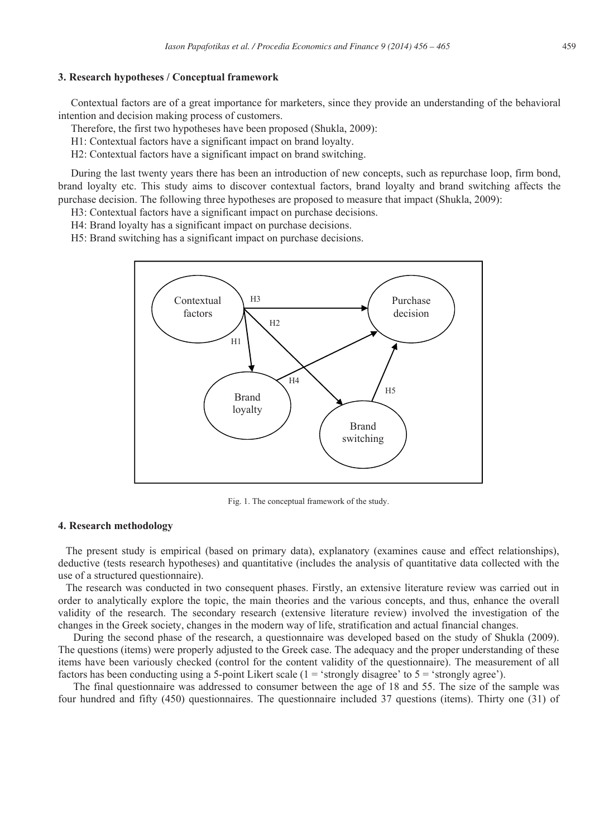## **3. Research hypotheses / Conceptual framework**

Contextual factors are of a great importance for marketers, since they provide an understanding of the behavioral intention and decision making process of customers.

Therefore, the first two hypotheses have been proposed (Shukla, 2009):

H1: Contextual factors have a significant impact on brand loyalty.

H2: Contextual factors have a significant impact on brand switching.

During the last twenty years there has been an introduction of new concepts, such as repurchase loop, firm bond, brand loyalty etc. This study aims to discover contextual factors, brand loyalty and brand switching affects the purchase decision. The following three hypotheses are proposed to measure that impact (Shukla, 2009):

H3: Contextual factors have a significant impact on purchase decisions.

H4: Brand loyalty has a significant impact on purchase decisions.

H5: Brand switching has a significant impact on purchase decisions.



Fig. 1. The conceptual framework of the study.

## **4. Research methodology**

The present study is empirical (based on primary data), explanatory (examines cause and effect relationships), deductive (tests research hypotheses) and quantitative (includes the analysis of quantitative data collected with the use of a structured questionnaire).

The research was conducted in two consequent phases. Firstly, an extensive literature review was carried out in order to analytically explore the topic, the main theories and the various concepts, and thus, enhance the overall validity of the research. The secondary research (extensive literature review) involved the investigation of the changes in the Greek society, changes in the modern way of life, stratification and actual financial changes.

During the second phase of the research, a questionnaire was developed based on the study of Shukla (2009). The questions (items) were properly adjusted to the Greek case. The adequacy and the proper understanding of these items have been variously checked (control for the content validity of the questionnaire). The measurement of all factors has been conducting using a 5-point Likert scale ( $1 =$  'strongly disagree' to  $5 =$  'strongly agree').

The final questionnaire was addressed to consumer between the age of 18 and 55. The size of the sample was four hundred and fifty (450) questionnaires. The questionnaire included 37 questions (items). Thirty one (31) of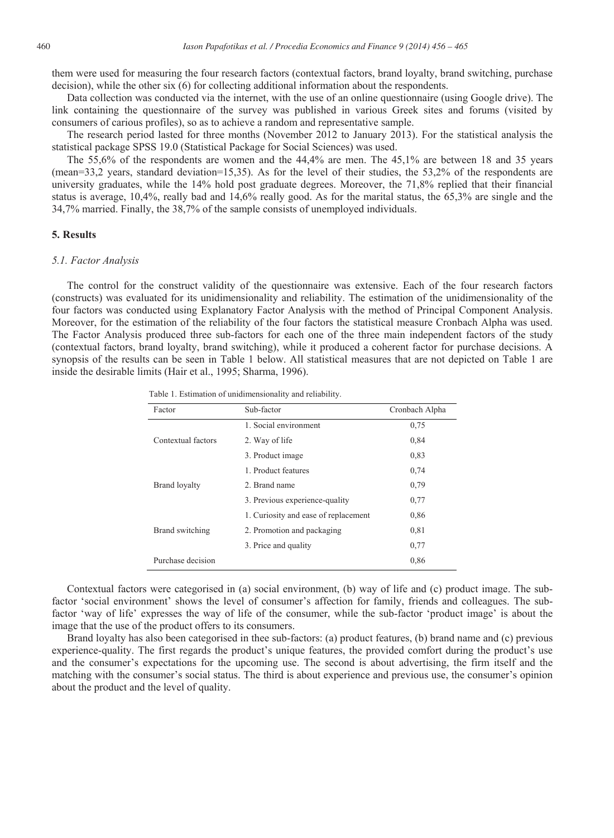them were used for measuring the four research factors (contextual factors, brand loyalty, brand switching, purchase decision), while the other six (6) for collecting additional information about the respondents.

Data collection was conducted via the internet, with the use of an online questionnaire (using Google drive). The link containing the questionnaire of the survey was published in various Greek sites and forums (visited by consumers of carious profiles), so as to achieve a random and representative sample.

The research period lasted for three months (November 2012 to January 2013). For the statistical analysis the statistical package SPSS 19.0 (Statistical Package for Social Sciences) was used.

The 55,6% of the respondents are women and the 44,4% are men. The 45,1% are between 18 and 35 years (mean=33,2 years, standard deviation=15,35). As for the level of their studies, the 53,2% of the respondents are university graduates, while the 14% hold post graduate degrees. Moreover, the 71,8% replied that their financial status is average, 10,4%, really bad and 14,6% really good. As for the marital status, the 65,3% are single and the 34,7% married. Finally, the 38,7% of the sample consists of unemployed individuals.

## **5. Results**

#### *5.1. Factor Analysis*

The control for the construct validity of the questionnaire was extensive. Each of the four research factors (constructs) was evaluated for its unidimensionality and reliability. The estimation of the unidimensionality of the four factors was conducted using Explanatory Factor Analysis with the method of Principal Component Analysis. Moreover, for the estimation of the reliability of the four factors the statistical measure Cronbach Alpha was used. The Factor Analysis produced three sub-factors for each one of the three main independent factors of the study (contextual factors, brand loyalty, brand switching), while it produced a coherent factor for purchase decisions. A synopsis of the results can be seen in Table 1 below. All statistical measures that are not depicted on Table 1 are inside the desirable limits (Hair et al., 1995; Sharma, 1996).

Table 1. Estimation of unidimensionality and reliability.

| Factor               | Sub-factor                           | Cronbach Alpha |
|----------------------|--------------------------------------|----------------|
| Contextual factors   | 1. Social environment                | 0.75           |
|                      | 2. Way of life                       | 0,84           |
|                      | 3. Product image                     | 0.83           |
| <b>Brand loyalty</b> | 1. Product features                  | 0,74           |
|                      | 2. Brand name                        | 0,79           |
|                      | 3. Previous experience-quality       | 0,77           |
| Brand switching      | 1. Curiosity and ease of replacement | 0,86           |
|                      | 2. Promotion and packaging           | 0,81           |
|                      | 3. Price and quality                 | 0.77           |
| Purchase decision    |                                      | 0,86           |

Contextual factors were categorised in (a) social environment, (b) way of life and (c) product image. The subfactor 'social environment' shows the level of consumer's affection for family, friends and colleagues. The subfactor 'way of life' expresses the way of life of the consumer, while the sub-factor 'product image' is about the image that the use of the product offers to its consumers.

Brand loyalty has also been categorised in thee sub-factors: (a) product features, (b) brand name and (c) previous experience-quality. The first regards the product's unique features, the provided comfort during the product's use and the consumer's expectations for the upcoming use. The second is about advertising, the firm itself and the matching with the consumer's social status. The third is about experience and previous use, the consumer's opinion about the product and the level of quality.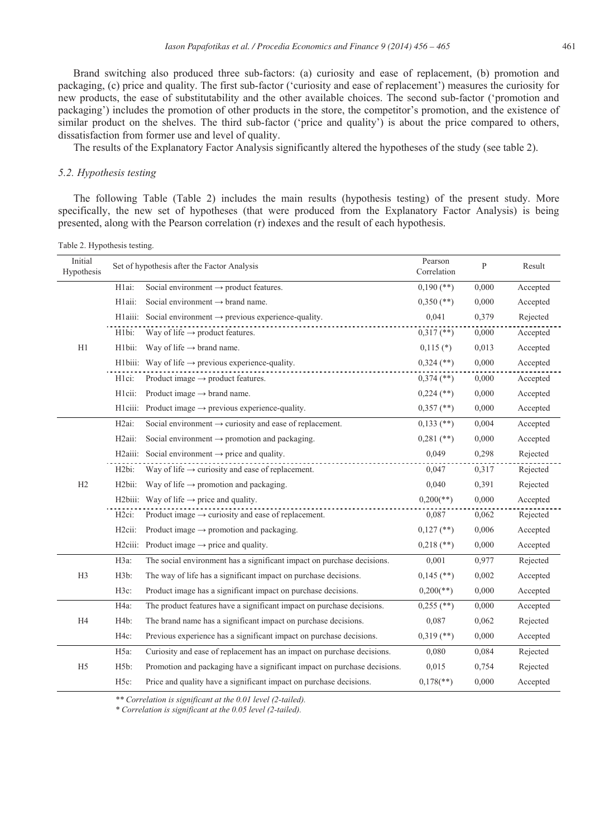Brand switching also produced three sub-factors: (a) curiosity and ease of replacement, (b) promotion and packaging, (c) price and quality. The first sub-factor ('curiosity and ease of replacement') measures the curiosity for new products, the ease of substitutability and the other available choices. The second sub-factor ('promotion and packaging') includes the promotion of other products in the store, the competitor's promotion, and the existence of similar product on the shelves. The third sub-factor ('price and quality') is about the price compared to others, dissatisfaction from former use and level of quality.

The results of the Explanatory Factor Analysis significantly altered the hypotheses of the study (see table 2).

#### *5.2. Hypothesis testing*

The following Table (Table 2) includes the main results (hypothesis testing) of the present study. More specifically, the new set of hypotheses (that were produced from the Explanatory Factor Analysis) is being presented, along with the Pearson correlation (r) indexes and the result of each hypothesis.

Initial Initial Pearson<br>Hypothesis Set of hypothesis after the Factor Analysis Pearson<br>Correlation Pearson<br>
P Result<br>
Result H1 H1ai: Social environment  $\rightarrow$  product features. 0,190 (\*\*) 0,000 Accepted H1aii: Social environment  $\rightarrow$  brand name. 0,350 (\*\*) 0,000 Accepted H1aiii: Social environment → previous experience-quality. 0,041 0,379 Rejected H1bi: Way of life  $\rightarrow$  product features. 0,317 (\*\*) 0,000 Accepted H1bii: Way of life  $\rightarrow$  brand name. 0,115 (\*) 0,013 Accepted H1biii: Way of life  $\rightarrow$  previous experience-quality. 0,324 (\*\*) 0,000 Accepted H1ci: Product image  $\rightarrow$  product features. 0,374 (\*\*) 0,000 Accepted H1cii: Product image  $\rightarrow$  brand name.  $0.224$  (\*\*)  $0.000$  Accepted H1ciii: Product image  $\rightarrow$  previous experience-quality. 0,357 (\*\*) 0,000 Accepted  $H2$ H2ai: Social environment  $\rightarrow$  curiosity and ease of replacement. 0,133 (\*\*) 0,004 Accepted H2aii: Social environment  $\rightarrow$  promotion and packaging. 0,281 (\*\*) 0,000 Accepted H2aiii: Social environment  $\rightarrow$  price and quality. 0.049 0.298 Rejected  $H2bi:$  Way of life  $\rightarrow$  curiosity and ease of replacement.  $0.047$  0,317 Rejected H2bii: Way of life  $\rightarrow$  promotion and packaging. 0,040 0,391 Rejected H2biii: Way of life  $\rightarrow$  price and quality. 0,200(\*\*) 0,000 Accepted H2ci: Product image  $\rightarrow$  curiosity and ease of replacement. 0,087 0,087 0,062 Rejected H2cii: Product image  $\rightarrow$  promotion and packaging. 0,127 (\*\*) 0,006 Accepted H2ciii: Product image  $\rightarrow$  price and quality. 0,218 (\*\*) 0,000 Accepted H3 H3a: The social environment has a significant impact on purchase decisions. 0,001 0,977 Rejected H3b: The way of life has a significant impact on purchase decisions. 0,145 (\*\*) 0,002 Accepted H3c: Product image has a significant impact on purchase decisions. 0,200(\*\*) 0,000 Accepted H4 H4a: The product features have a significant impact on purchase decisions. 0,255 (\*\*) 0,000 Accepted H4b: The brand name has a significant impact on purchase decisions. 0,087 0,062 Rejected H4c: Previous experience has a significant impact on purchase decisions.  $0.319$  (\*\*)  $0.000$  Accepted H5 H5a: Curiosity and ease of replacement has an impact on purchase decisions. 0,080 0,084 Rejected H5b: Promotion and packaging have a significant impact on purchase decisions. 0,015 0,754 Rejected H5c: Price and quality have a significant impact on purchase decisions. 0,178(\*\*) 0,000 Accepted

Table 2. Hypothesis testing.

*\*\* Correlation is significant at the 0.01 level (2-tailed).* 

*\* Correlation is significant at the 0.05 level (2-tailed).*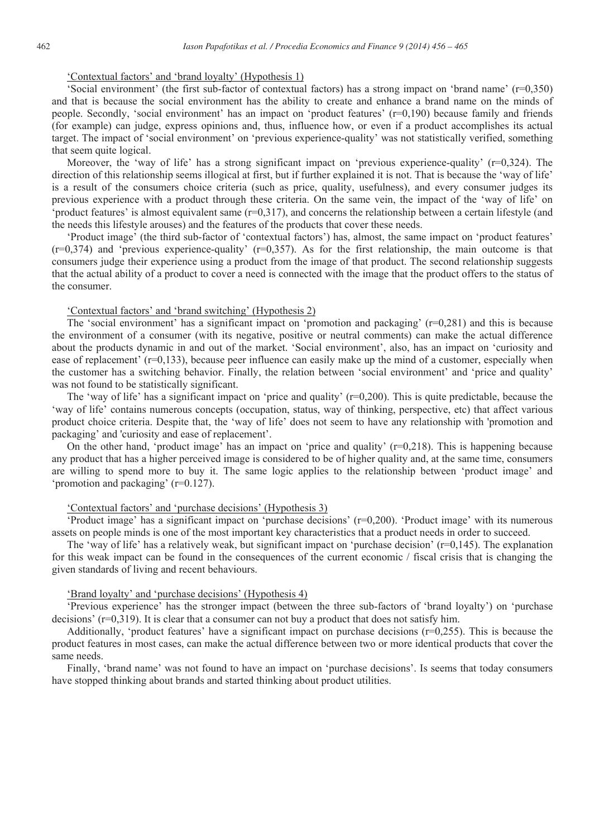## 'Contextual factors' and 'brand loyalty' (Hypothesis 1)

'Social environment' (the first sub-factor of contextual factors) has a strong impact on 'brand name' (r=0,350) and that is because the social environment has the ability to create and enhance a brand name on the minds of people. Secondly, 'social environment' has an impact on 'product features' (r=0,190) because family and friends (for example) can judge, express opinions and, thus, influence how, or even if a product accomplishes its actual target. The impact of 'social environment' on 'previous experience-quality' was not statistically verified, something that seem quite logical.

Moreover, the 'way of life' has a strong significant impact on 'previous experience-quality' (r=0,324). The direction of this relationship seems illogical at first, but if further explained it is not. That is because the 'way of life' is a result of the consumers choice criteria (such as price, quality, usefulness), and every consumer judges its previous experience with a product through these criteria. On the same vein, the impact of the 'way of life' on 'product features' is almost equivalent same (r=0,317), and concerns the relationship between a certain lifestyle (and the needs this lifestyle arouses) and the features of the products that cover these needs.

'Product image' (the third sub-factor of 'contextual factors') has, almost, the same impact on 'product features'  $(r=0,374)$  and 'previous experience-quality'  $(r=0,357)$ . As for the first relationship, the main outcome is that consumers judge their experience using a product from the image of that product. The second relationship suggests that the actual ability of a product to cover a need is connected with the image that the product offers to the status of the consumer.

#### 'Contextual factors' and 'brand switching' (Hypothesis 2)

The 'social environment' has a significant impact on 'promotion and packaging'  $(r=0,281)$  and this is because the environment of a consumer (with its negative, positive or neutral comments) can make the actual difference about the products dynamic in and out of the market. 'Social environment', also, has an impact on 'curiosity and ease of replacement'  $(r=0,133)$ , because peer influence can easily make up the mind of a customer, especially when the customer has a switching behavior. Finally, the relation between 'social environment' and 'price and quality' was not found to be statistically significant.

The 'way of life' has a significant impact on 'price and quality'  $(r=0,200)$ . This is quite predictable, because the 'way of life' contains numerous concepts (occupation, status, way of thinking, perspective, etc) that affect various product choice criteria. Despite that, the 'way of life' does not seem to have any relationship with 'promotion and packaging' and 'curiosity and ease of replacement'.

On the other hand, 'product image' has an impact on 'price and quality'  $(r=0.218)$ . This is happening because any product that has a higher perceived image is considered to be of higher quality and, at the same time, consumers are willing to spend more to buy it. The same logic applies to the relationship between 'product image' and 'promotion and packaging' (r=0.127).

## 'Contextual factors' and 'purchase decisions' (Hypothesis 3)

'Product image' has a significant impact on 'purchase decisions' (r=0,200). 'Product image' with its numerous assets on people minds is one of the most important key characteristics that a product needs in order to succeed.

The 'way of life' has a relatively weak, but significant impact on 'purchase decision'  $(r=0,145)$ . The explanation for this weak impact can be found in the consequences of the current economic / fiscal crisis that is changing the given standards of living and recent behaviours.

## 'Brand loyalty' and 'purchase decisions' (Hypothesis 4)

'Previous experience' has the stronger impact (between the three sub-factors of 'brand loyalty') on 'purchase decisions' (r=0,319). It is clear that a consumer can not buy a product that does not satisfy him.

Additionally, 'product features' have a significant impact on purchase decisions (r=0,255). This is because the product features in most cases, can make the actual difference between two or more identical products that cover the same needs.

Finally, 'brand name' was not found to have an impact on 'purchase decisions'. Is seems that today consumers have stopped thinking about brands and started thinking about product utilities.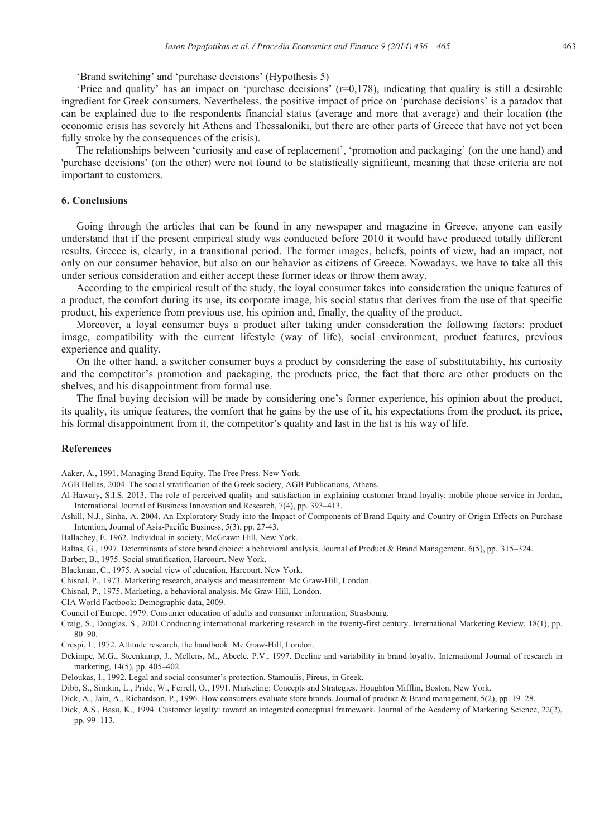## 'Brand switching' and 'purchase decisions' (Hypothesis 5)

'Price and quality' has an impact on 'purchase decisions' (r=0,178), indicating that quality is still a desirable ingredient for Greek consumers. Nevertheless, the positive impact of price on 'purchase decisions' is a paradox that can be explained due to the respondents financial status (average and more that average) and their location (the economic crisis has severely hit Athens and Thessaloniki, but there are other parts of Greece that have not yet been fully stroke by the consequences of the crisis).

The relationships between 'curiosity and ease of replacement', 'promotion and packaging' (on the one hand) and 'purchase decisions' (on the other) were not found to be statistically significant, meaning that these criteria are not important to customers.

## **6. Conclusions**

Going through the articles that can be found in any newspaper and magazine in Greece, anyone can easily understand that if the present empirical study was conducted before 2010 it would have produced totally different results. Greece is, clearly, in a transitional period. The former images, beliefs, points of view, had an impact, not only on our consumer behavior, but also on our behavior as citizens of Greece. Nowadays, we have to take all this under serious consideration and either accept these former ideas or throw them away.

According to the empirical result of the study, the loyal consumer takes into consideration the unique features of a product, the comfort during its use, its corporate image, his social status that derives from the use of that specific product, his experience from previous use, his opinion and, finally, the quality of the product.

Moreover, a loyal consumer buys a product after taking under consideration the following factors: product image, compatibility with the current lifestyle (way of life), social environment, product features, previous experience and quality.

On the other hand, a switcher consumer buys a product by considering the ease of substitutability, his curiosity and the competitor's promotion and packaging, the products price, the fact that there are other products on the shelves, and his disappointment from formal use.

The final buying decision will be made by considering one's former experience, his opinion about the product, its quality, its unique features, the comfort that he gains by the use of it, his expectations from the product, its price, his formal disappointment from it, the competitor's quality and last in the list is his way of life.

#### **References**

Aaker, A., 1991. Managing Brand Equity. The Free Press. New York.

AGB Hellas, 2004. The social stratification of the Greek society, AGB Publications, Athens.

Al-Hawary, S.I.S. 2013. The role of perceived quality and satisfaction in explaining customer brand loyalty: mobile phone service in Jordan, International Journal of Business Innovation and Research, 7(4), pp. 393–413.

Ashill, N.J., Sinha, A. 2004. An Exploratory Study into the Impact of Components of Brand Equity and Country of Origin Effects on Purchase Intention, Journal of Asia-Pacific Business, 5(3), pp. 27-43.

Ballachey, E. 1962. Individual in society, McGrawn Hill, New York.

Baltas, G., 1997. Determinants of store brand choice: a behavioral analysis, Journal of Product & Brand Management. 6(5), pp. 315–324.

Barber, B., 1975. Social stratification, Harcourt. New York.

Blackman, C., 1975. A social view of education, Harcourt. New York.

Chisnal, P., 1973. Marketing research, analysis and measurement. Mc Graw-Hill, London.

Chisnal, P., 1975. Marketing, a behavioral analysis. Mc Graw Hill, London.

CIA World Factbook: Demographic data, 2009.

Council of Europe, 1979. Consumer education of adults and consumer information, Strasbourg.

Craig, S., Douglas, S., 2001.Conducting international marketing research in the twenty-first century. International Marketing Review, 18(1), pp. 80–90.

Crespi, I., 1972. Attitude research, the handbook. Mc Graw-Hill, London.

Dekimpe, M.G., Steenkamp, J., Mellens, M., Abeele, P.V., 1997. Decline and variability in brand loyalty. International Journal of research in marketing, 14(5), pp. 405–402.

Deloukas, I., 1992. Legal and social consumer's protection. Stamoulis, Pireus, in Greek.

Dibb, S., Simkin, L., Pride, W., Ferrell, O., 1991. Marketing: Concepts and Strategies. Houghton Mifflin, Boston, New York.

Dick, A., Jain, A., Richardson, P., 1996. How consumers evaluate store brands. Journal of product & Brand management, 5(2), pp. 19–28.

Dick, A.S., Basu, K., 1994. Customer loyalty: toward an integrated conceptual framework. Journal of the Academy of Marketing Science, 22(2), pp. 99–113.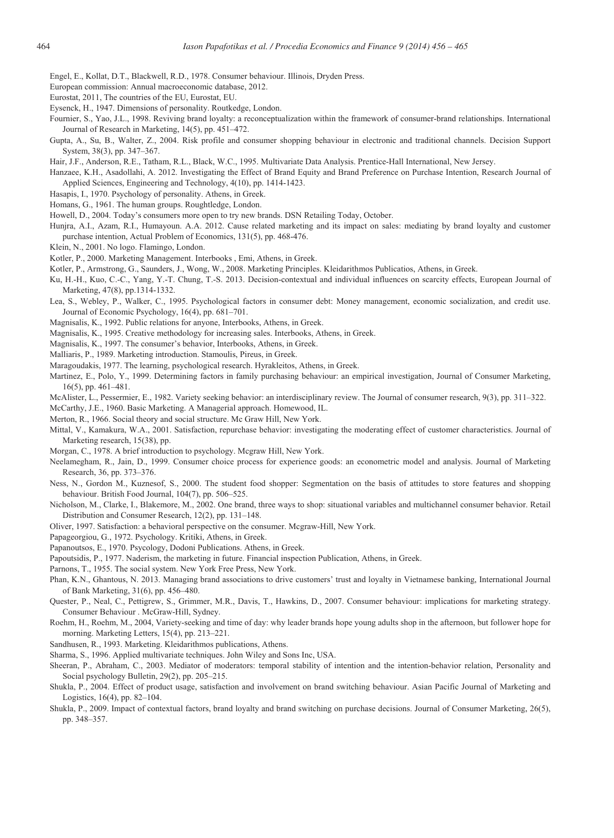- Engel, E., Kollat, D.T., Blackwell, R.D., 1978. Consumer behaviour. Illinois, Dryden Press.
- European commission: Annual macroeconomic database, 2012.
- Eurostat, 2011, The countries of the EU, Eurostat, EU.
- Eysenck, H., 1947. Dimensions of personality. Routkedge, London.
- Fournier, S., Yao, J.L., 1998. Reviving brand loyalty: a reconceptualization within the framework of consumer-brand relationships. International Journal of Research in Marketing, 14(5), pp. 451–472.
- Gupta, A., Su, B., Walter, Z., 2004. Risk profile and consumer shopping behaviour in electronic and traditional channels. Decision Support System, 38(3), pp. 347–367.
- Hair, J.F., Anderson, R.E., Tatham, R.L., Black, W.C., 1995. Multivariate Data Analysis. Prentice-Hall International, New Jersey.
- Hanzaee, K.H., Asadollahi, A. 2012. Investigating the Effect of Brand Equity and Brand Preference on Purchase Intention, Research Journal of Applied Sciences, Engineering and Technology, 4(10), pp. 1414-1423.
- Hasapis, I., 1970. Psychology of personality. Athens, in Greek.
- Homans, G., 1961. The human groups. Roughtledge, London.
- Howell, D., 2004. Today's consumers more open to try new brands. DSN Retailing Today, October.
- Hunjra, A.I., Azam, R.I., Humayoun. A.A. 2012. Cause related marketing and its impact on sales: mediating by brand loyalty and customer purchase intention, Actual Problem of Economics, 131(5), pp. 468-476.
- Klein, N., 2001. No logo. Flamingo, London.
- Kotler, P., 2000. Marketing Management. Interbooks , Emi, Athens, in Greek.
- Kotler, P., Armstrong, G., Saunders, J., Wong, W., 2008. Marketing Principles. Kleidarithmos Publicatios, Athens, in Greek.
- Ku, H.-H., Kuo, C.-C., Yang, Y.-T. Chung, T.-S. 2013. Decision-contextual and individual influences on scarcity effects, European Journal of Marketing, 47(8), pp.1314-1332.
- Lea, S., Webley, P., Walker, C., 1995. Psychological factors in consumer debt: Money management, economic socialization, and credit use. Journal of Economic Psychology, 16(4), pp. 681–701.
- Magnisalis, K., 1992. Public relations for anyone, Interbooks, Athens, in Greek.
- Magnisalis, K., 1995. Creative methodology for increasing sales. Interbooks, Athens, in Greek.
- Magnisalis, K., 1997. The consumer's behavior, Interbooks, Athens, in Greek.
- Malliaris, P., 1989. Marketing introduction. Stamoulis, Pireus, in Greek.
- Maragoudakis, 1977. The learning, psychological research. Hyrakleitos, Athens, in Greek.
- Martinez, E., Polo, Y., 1999. Determining factors in family purchasing behaviour: an empirical investigation, Journal of Consumer Marketing, 16(5), pp. 461–481.
- McAlister, L., Pessermier, E., 1982. Variety seeking behavior: an interdisciplinary review. The Journal of consumer research, 9(3), pp. 311–322.

McCarthy, J.E., 1960. Basic Marketing. A Managerial approach. Homewood, IL.

- Merton, R., 1966. Social theory and social structure. Mc Graw Hill, New York.
- Mittal, V., Kamakura, W.A., 2001. Satisfaction, repurchase behavior: investigating the moderating effect of customer characteristics. Journal of Marketing research, 15(38), pp.
- Morgan, C., 1978. A brief introduction to psychology. Mcgraw Hill, New York.
- Neelamegham, R., Jain, D., 1999. Consumer choice process for experience goods: an econometric model and analysis. Journal of Marketing Research, 36, pp. 373–376.
- Ness, N., Gordon M., Kuznesof, S., 2000. The student food shopper: Segmentation on the basis of attitudes to store features and shopping behaviour. British Food Journal, 104(7), pp. 506–525.
- Nicholson, M., Clarke, I., Blakemore, M., 2002. One brand, three ways to shop: situational variables and multichannel consumer behavior. Retail Distribution and Consumer Research, 12(2), pp. 131–148.
- Oliver, 1997. Satisfaction: a behavioral perspective on the consumer. Mcgraw-Hill, New York.
- Papageorgiou, G., 1972. Psychology. Kritiki, Athens, in Greek.
- Papanoutsos, E., 1970. Psycology, Dodoni Publications. Athens, in Greek.
- Papoutsidis, P., 1977. Naderism, the marketing in future. Financial inspection Publication, Athens, in Greek.
- Parnons, T., 1955. The social system. New York Free Press, New York.
- Phan, K.N., Ghantous, N. 2013. Managing brand associations to drive customers' trust and loyalty in Vietnamese banking, International Journal of Bank Marketing, 31(6), pp. 456–480.
- Quester, P., Neal, C., Pettigrew, S., Grimmer, M.R., Davis, T., Hawkins, D., 2007. Consumer behaviour: implications for marketing strategy. Consumer Behaviour . McGraw-Hill, Sydney.
- Roehm, H., Roehm, M., 2004, Variety-seeking and time of day: why leader brands hope young adults shop in the afternoon, but follower hope for morning. Marketing Letters, 15(4), pp. 213–221.
- Sandhusen, R., 1993. Marketing. Kleidarithmos publications, Athens.
- Sharma, S., 1996. Applied multivariate techniques. John Wiley and Sons Inc, USA.
- Sheeran, P., Abraham, C., 2003. Mediator of moderators: temporal stability of intention and the intention-behavior relation, Personality and Social psychology Bulletin, 29(2), pp. 205–215.
- Shukla, P., 2004. Effect of product usage, satisfaction and involvement on brand switching behaviour. Asian Pacific Journal of Marketing and Logistics, 16(4), pp. 82–104.
- Shukla, P., 2009. Impact of contextual factors, brand loyalty and brand switching on purchase decisions. Journal of Consumer Marketing, 26(5), pp. 348–357.